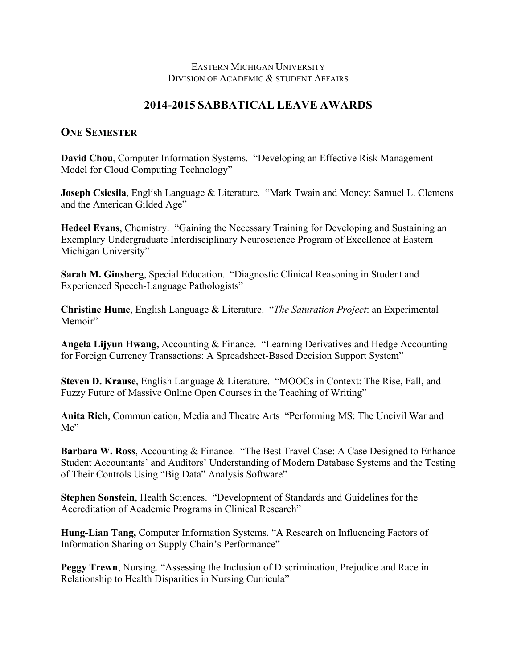## EASTERN MICHIGAN UNIVERSITY DIVISION OF ACADEMIC & STUDENT AFFAIRS

## **2014-2015 SABBATICAL LEAVE AWARDS**

## **ONE SEMESTER**

**David Chou**, Computer Information Systems. "Developing an Effective Risk Management Model for Cloud Computing Technology"

**Joseph Csicsila**, English Language & Literature. "Mark Twain and Money: Samuel L. Clemens and the American Gilded Age"

**Hedeel Evans**, Chemistry. "Gaining the Necessary Training for Developing and Sustaining an Exemplary Undergraduate Interdisciplinary Neuroscience Program of Excellence at Eastern Michigan University"

**Sarah M. Ginsberg**, Special Education. "Diagnostic Clinical Reasoning in Student and Experienced Speech-Language Pathologists"

**Christine Hume**, English Language & Literature. "*The Saturation Project*: an Experimental Memoir"

**Angela Lijyun Hwang,** Accounting & Finance. "Learning Derivatives and Hedge Accounting for Foreign Currency Transactions: A Spreadsheet-Based Decision Support System"

**Steven D. Krause**, English Language & Literature. "MOOCs in Context: The Rise, Fall, and Fuzzy Future of Massive Online Open Courses in the Teaching of Writing"

**Anita Rich**, Communication, Media and Theatre Arts "Performing MS: The Uncivil War and Me"

**Barbara W. Ross**, Accounting & Finance. "The Best Travel Case: A Case Designed to Enhance Student Accountants' and Auditors' Understanding of Modern Database Systems and the Testing of Their Controls Using "Big Data" Analysis Software"

**Stephen Sonstein**, Health Sciences. "Development of Standards and Guidelines for the Accreditation of Academic Programs in Clinical Research"

**Hung-Lian Tang,** Computer Information Systems. "A Research on Influencing Factors of Information Sharing on Supply Chain's Performance"

**Peggy Trewn**, Nursing. "Assessing the Inclusion of Discrimination, Prejudice and Race in Relationship to Health Disparities in Nursing Curricula"